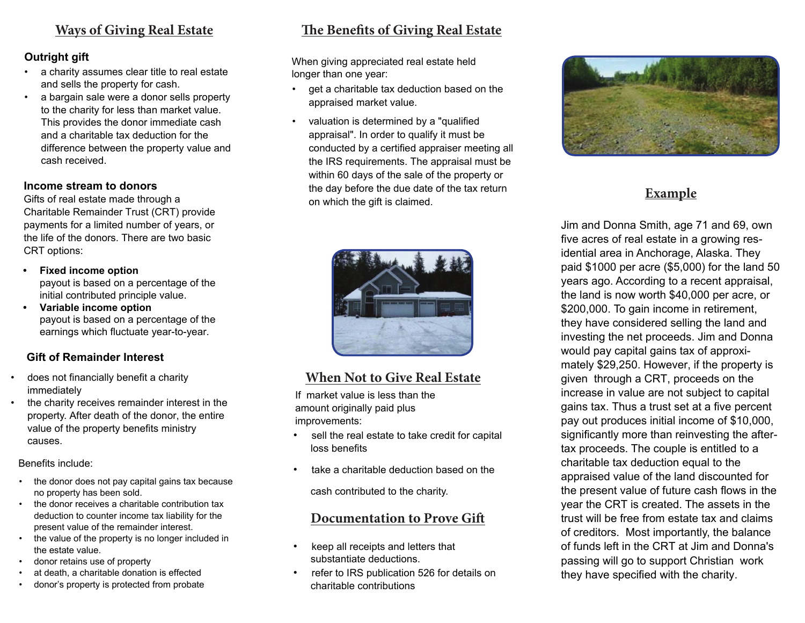### **Ways of Giving Real Estate**

#### **Outright gift**

- a charity assumes clear title to real estate and sells the property for cash.
- a bargain sale were a donor sells property to the charity for less than market value. This provides the donor immediate cash and a charitable tax deduction for the difference between the property value and cash received.

#### **Income stream to donors**

Gifts of real estate made through a Charitable Remainder Trust (CRT) provide payments for a limited number of years, or the life of the donors. There are two basic CRT options:

- **Fixed income option** payout is based on a percentage of the initial contributed principle value.
- **Variable income option** payout is based on a percentage of the earnings which fluctuate year-to-year.

#### **Gift of Remainder Interest**

- does not financially benefit a charity immediately
- the charity receives remainder interest in the property. After death of the donor, the entire value of the property benefits ministry causes.

Benefits include:

- the donor does not pay capital gains tax because no property has been sold.
- the donor receives a charitable contribution tax deduction to counter income tax liability for the present value of the remainder interest.
- the value of the property is no longer included in the estate value.
- donor retains use of property
- at death, a charitable donation is effected
- donor's property is protected from probate

## **The Benefits of Giving Real Estate**

When giving appreciated real estate held longer than one year:

- get a charitable tax deduction based on the appraised market value.
- valuation is determined by a "qualified appraisal". In order to qualify it must be conducted by a certified appraiser meeting all the IRS requirements. The appraisal must be within 60 days of the sale of the property or the day before the due date of the tax return on which the gift is claimed.



### **When Not to Give Real Estate**

If market value is less than the amount originally paid plus improvements:

- sell the real estate to take credit for capital loss benefits
- take a charitable deduction based on the

cash contributed to the charity.

#### **Documentation to Prove Gift**

- keep all receipts and letters that substantiate deductions.
- refer to IRS publication 526 for details on charitable contributions



## **Example**

Jim and Donna Smith, age 71 and 69, own five acres of real estate in a growing residential area in Anchorage, Alaska. They paid \$1000 per acre (\$5,000) for the land 50 years ago. According to a recent appraisal, the land is now worth \$40,000 per acre, or \$200,000. To gain income in retirement, they have considered selling the land and investing the net proceeds. Jim and Donna would pay capital gains tax of approximately \$29,250. However, if the property is given through a CRT, proceeds on the increase in value are not subject to capital gains tax. Thus a trust set at a five percent pay out produces initial income of \$10,000, significantly more than reinvesting the aftertax proceeds. The couple is entitled to a charitable tax deduction equal to the appraised value of the land discounted for the present value of future cash flows in the year the CRT is created. The assets in the trust will be free from estate tax and claims of creditors. Most importantly, the balance of funds left in the CRT at Jim and Donna's passing will go to support Christian work they have specified with the charity.